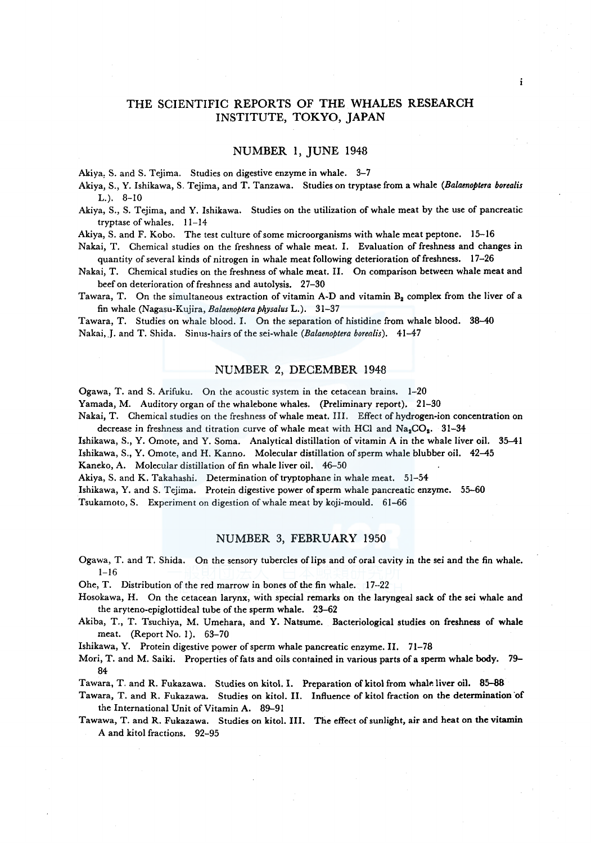# THE SCIENTIFIC REPORTS OF THE WHALES RESEARCH INSTITUTE, TOKYO, JAPAN

## NUMBER I, JUNE 1948

Akiya, S. and S. Tejima. Studies on digestive enzyme in whale. 3-7

Akiya, S., Y. Ishikawa, S. Tejima, and T. Tanzawa. Studies on tryptase from a whale *(Balaenoptera borealis*  L.). 8-10

Akiya, S., S. Tejima, and Y. Ishikawa. Studies on the utilization of whale meat by the use of pancreatic tryptase of whales. 11-14

Akiya, S. and F. Kobo. The test culture of some microorganisms with whale meat peptone. 15-16

Nakai, T. Chemical studies on the freshness of whale meat. I. Evaluation of freshness and changes in quantity of several kinds of nitrogen in whale meat following deterioration of freshness. 17-26

Nakai, T. Chemical studies on the freshness of whale meat. II. On comparison between whale meat and beef on deterioration of freshness and autolysis. 27-30

Tawara, T. On the simultaneous extraction of vitamin A-D and vitamin  $B_2$  complex from the liver of a fin whale (Nagasu-Kujira, *Balaenoptera physalus* L.). 31-37

Tawara, T. Studies on whale blood. I. On the separation of histidine from whale blood. 38-40 Nakai,.J. and T. Shida. Sinus-hairs of the sei-whale *(Balaenoptera borealis).* 41-47

# NUMBER 2, DECEMBER 1948

Ogawa, T. and S. Arifuku. On the acoustic system in the cetacean brains. 1-20

Yamada, M. Auditory organ of the whalebone whales. (Preliminary report). 21-30

Nakai, T. Chemical studies on the freshness of whale meat. III. Effect of hydrogen-ion concentration on decrease in freshness and titration curve of whale meat with HCl and  $Na<sub>2</sub>CO<sub>2</sub>$ . 31-34

Ishikawa, S., Y. Omote, and Y. Soma. Analytical distillation of vitamin A in the whale liver oil. 35-41 Ishikawa, S., Y. Omote, and H. Kanno. Molecular distillation of sperm whale blubber oil. 42-45 Kaneko, A. Molecular distillation of fin whale liver oil. 46-50

Akiya, S. and K. Takahashi. Determination of tryptophane in whale meat. 51-54

Ishikawa, Y. and S. Tejima. Protein digestive power of sperm whale pancreatic enzyme. 55-60

Tsukamoto, S. Experiment on digestion of whale meat by koji-mould. 61-66

#### NUMBER 3, FEBRUARY 1950

Ogawa, T. and T. Shida. On the sensory tubercles of lips and of oral cavity in the sei and the fin whale.  $1 - 16$ 

Ohe, T. Distribution of the red marrow in bones of the fin whale. 17--22

- Hosokawa, H. On the cetacean larynx, with special remarks on the laryngeal sack of the sei whale and the aryteno-epiglottideal tube of the sperm whale. 23-62
- Akiba, T., T. Tsuchiya, M. Umehara, and Y. Natsume. Bacteriological studies on freshness of whale meat. (Report No. 1). 63-70

Ishikawa, Y. Protein digestive power of sperm whale pancreatic enzyme. II. 71-78

Mori, T. and M. Saiki. Properties of fats and oils contained in various parts of a sperm whale body. 79- 84

Tawara, T. and R. Fukazawa. Studies on kitol. I. Preparation of kitol from whale liver oil. 85-88

- Tawara, T. and R. Fukazawa. Studies on kitol. II. Influence of kitol fraction on the determination 'of the International Unit of Vitamin A. 89-91
- Tawawa, T. and R. Fukazawa. Studies on kitol. III. The effect of sunlight, air and heat on the vitamin A and kitol fractions. 92-95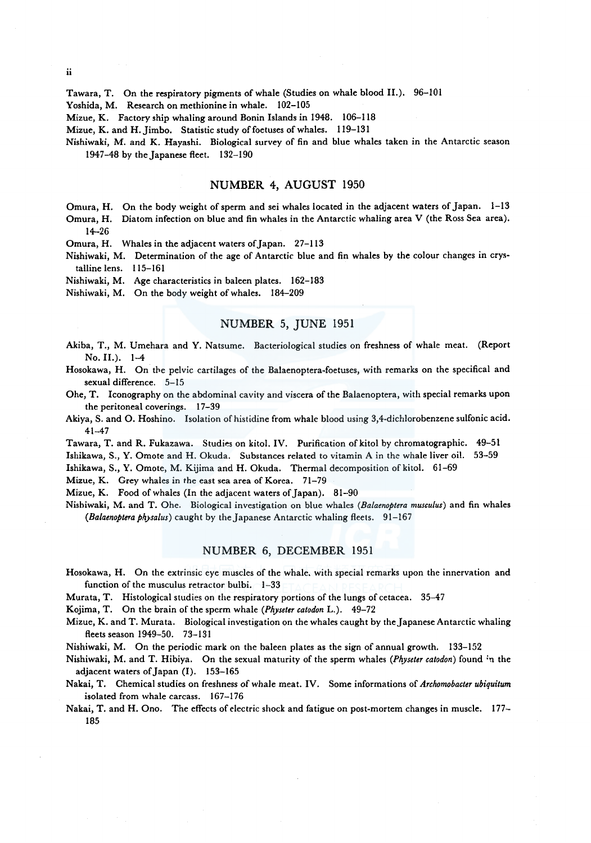Tawara, T. On the respiratory pigments of whale (Studies on whale blood II.). 96-101

Yoshida, M. Research on methionine in whale. 102-105

Mizue, K. Factory ship whaling around Bonin Islands in 1948. 106-118

Mizue, K. and H. Jimbo. Statistic study of foetuses of whales. 119-131

Nishiwaki, M. and K. Hayashi. Biological survey of fin and blue whales taken in the Antarctic season 1947-48 by the Japanese fleet. 132-190

# NUMBER 4, AUGUST 1950

Omura, H. On the body weight of sperm and sei whales located in the adjacent waters of Japan. 1-13

Omura, H. Diatom infection on blue and fin whales in the Antarctic whaling area V (the Ross Sea area). 14-26

Omura, H. Whales in the adjacent waters of Japan. 27-113

Nishiwaki, M. Determination of the age of Antarctic blue and fin whales by the colour changes in crystalline lens. 115-161

Nishiwaki, M. Age characteristics in baleen plates. 162-183

Nishiwaki, M. On the body weight of whales. 184-209

# NUMBER 5, JUNE 1951

- Akiba, T., M. Umehara and Y. Natsume. Bacteriological studies on freshness of whale meat. (Report No. II.). 1-4
- Hosokawa, H. On the pelvic cartilages of the Balaenoptera-foetuses, with remarks on the specifical and sexual difference. 5-15
- Ohe, T. Iconography on the abdominal cavity and viscera of the Balaenoptera, with special remarks upon the peritoneal coverings. 17-39
- Akiya, S. and O. Hoshino. Isolation of histidine from whale blood using 3,4-dichlorobenzene sulfonic acid. 41-47

Tawara, T. and R. Fukazawa. Studies on kitol. IV. Purification of kitol by chromatographic. 49-51 Ishikawa, S., Y. Omote and H. Okuda. Substances related to vitamin A in the whale liver oil. 53-59

Ishikawa, S., Y. Omote, M. Kijima and H. Okuda. Thermal decomposition of kitol. 61-69

Mizue, K. Grey whales in the east sea area of Korea. 71-79

Mizue, K. Food of whales (In the adjacent waters of Japan). 81-90

Nishiwaki, M. and T. Ohe. Biological investigation on blue whales *(Balaenoptera musculus)* and fin whales *(Balaenoptera physalus)* caught by the Japanese Antarctic whaling fleets. 91-167

#### NUMBER 6, DECEMBER 1951

Hosokawa, H. On the extrinsic eye muscles of the whale. with special remarks upon the innervation and function of the musculus retractor bulbi.  $-1-33$ 

Murata, T. Histological studies on the respiratory portions of the lungs of cetacea. 35-47

Kojima, T. On the brain of the sperm whale *(Physeter catodon* L.). 49-72

Mizue, K. and T. Murata. Biological investigation on the whales caught by theJapanese Antarctic whaling fleets season 1949-50. 73-131

Nishiwaki, M. On the periodic mark on the baleen plates as the sign of annual growth. 133-152

- Nishiwaki, M. and T. Hibiya. On the sexual maturity of the sperm whales *(Physeter catodon)* found :n the adjacent waters of Japan (I). 153-165
- Nakai, T. Chemical studies on freshness of whale meat. IV. Some informations of *Archomobacter ubiquitum*  isolated from whale carcass. 167-176
- Nakai, T. and H. Ono. The effects of electric shock and fatigue on post-mortem changes in muscle. 177- 185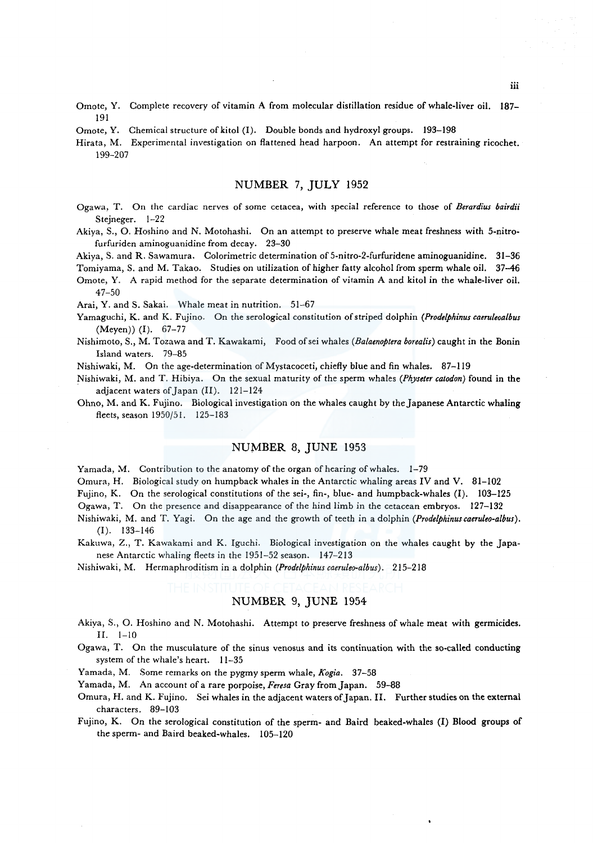- Omote, Y. Complete recovery of vitamin A from molecular distillation residue of whale-liver oil. 187– 191
- Omote, Y. Chemical structure of kitol (I). Double bonds and hydroxyl groups. 193-198

Hirata, M. Experimental investigation on flattened head harpoon. An attempt for restraining ricochet. 199-207

# NUMBER 7, JULY 1952

- Ogawa, T. On the cardiac nerves of some cetacea, with special reference to those of *Berardius bairdii*  Stejneger. 1-22
- Akiya, S., 0. Hoshino and N. Motohashi. On an attempt to preserve whale meat freshness with 5-nitrofurfuriden aminoguanidine from decay. 23-30
- Akiya, S. and R. Sawamura. Colorimetric determination of 5-nitro-2-furfuridene aminoguanidine. 31-36

Tomiyama, S. and M. Takao. Studies on utilization of higher fatty alcohol from sperm whale oil. 37-46

Omote, Y. A rapid method for the separate determination of vitamin A and kitol in the whale-liver oil. 47-50

Arai, Y. and S. Sakai. Whale meat in nutrition. 51-67

- Yamaguchi, K. and K. Fujino. On the serological constitution of striped dolphin *(Prodelphinus caeruleoalbus*  (Meyen)) (I). 67-77
- Nishimoto, S., M. Tozawa and T. Kawakami, Food ofsei whales *(Balaenoptera borealis)* caught in the Bonin Island waters. 79-85

Nishiwaki, M. On the age-determination of Mystacoceti, chiefly blue and fin whales. 87-119

- Nishiwaki, M. and T. Hibiya. On the sexual maturity of the sperm whales *(Physeter catodon)* found in the adjacent waters of Japan (II). 121-124
- Ohno, M. and K. Fujino. Biological investigation on the whales caught by the Japanese Antarctic whaling fleets, season 1950/51. 125-183

#### NUMBER 8, JUNE 1953

Yamada, M. Contribution to the anatomy of the organ of hearing of whales. 1-79

Omura, H. Biological study on humpback whales in the Antarctic whaling areas IV and V. 81-102

Fujino, K. On the serological constitutions of the sei-, fin-, blue- and humpback-whales (I). 103-125

Ogawa, T. On the presence and disappearance of the hind limb in the cetacean embryos. 127-132

- Nishiwaki, M. and T. Yagi. On the age and the growth of teeth in a dolphin *(Prodelphinuscaeruleo-albus).*  (I). 133-146
- Kakuwa, Z., T. Kawakami and K. Iguchi. Biological investigation on the whales caught by the Japanese Antarctic whaling fleets in the 1951-52 season. 147-213

Nishiwaki, M. Hermaphroditism in a dolphin *(Prodelphinuscaeruleo-albus).* 215-218

# NUMBER 9, JUNE 1954

- Akiya, S., 0. Hoshino and N. Motohashi. Attempt to preserve freshness of whale meat with germicides. II. 1-10
- Ogawa, T. On the musculature of the sinus venosus and its continuation with the so-called conducting system of the whale's heart. 11-35
- Yamada, M. Some remarks on the pygmy sperm whale, *Kogia.* 37-58

Yamada, M. An account of a rare porpoise, *Feresa* Gray from Japan. 59-88

Omura, H. and K. Fujino. Sei whales in the adjacent waters of Japan. II. Further studies on the external characters. 89-103

Fujino, K. On the serological constitution of the sperm- and Baird beaked-whales (I) Blood groups of the sperm- and Baird beaked-whales. 105-120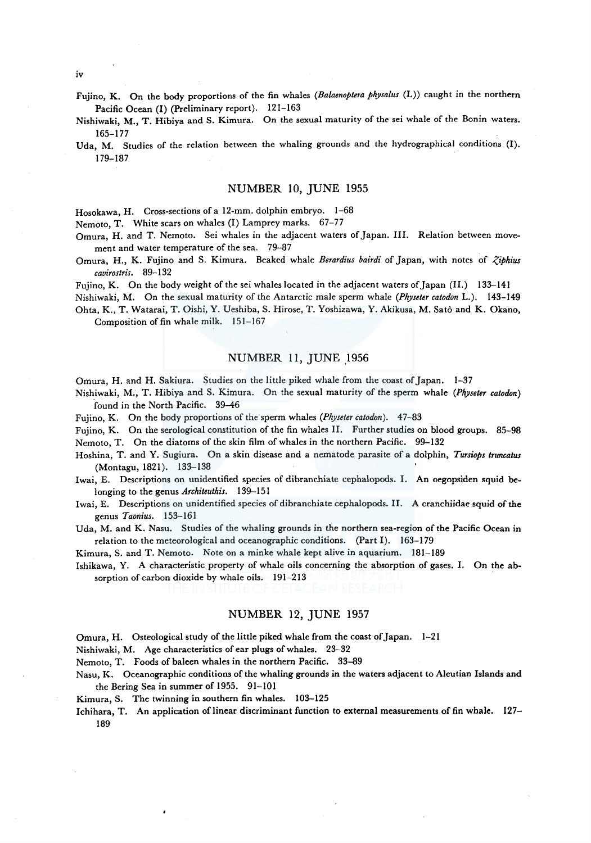- Fujino, K. On the body proportions of the fin whales *(Balaenoptera physalus* (L)) caught in the northern Pacific Ocean (I) (Preliminary report). 121-163
- Nishiwaki, M., T. Hibiya and S. Kimura. On the sexual maturity of the sei whale of the Bonin waters. 165-177
- Uda, M. Studies of the relation between the whaling grounds and the hydrographical conditions (I). 179-187

#### NUMBER 10, JUNE 1955

Hosokawa, H. Cross-sections of a 12-mm. dolphin embryo. 1-68

Nemoto, T. White scars on whales (I) Lamprey marks. 67-77

Omura, H. and T. Nemoto. Sei whales in the adjacent waters of Japan. III. Relation between movement and water temperature of the sea. 79-87

Omura, H., K. Fujino and S. Kimura. Beaked whale *Berardius bairdi* of Japan, with notes of *Ziphius cavirostris.* 89-132

Fujino, K. On the body weight of the sei whales located in the adjacent waters of Japan (II.) 133-141

Nishiwaki, M. On the sexual maturity of the Antarctic male sperm whale *(Physeter catodon* L.). 143-149 Ohta, K., T. Watarai, T. Oishi, Y. Ueshiba, S. Hirose, T. Yoshizawa, Y. Akikusa, M. Sato and K. Okano,

Composition of fin whale milk. 151-167

### NUMBER 11, JUNE 1956

Omura, H. and H. Sakiura. Studies on the little piked whale from the coast of Japan. 1-37

Nishiwaki, M., T. Hibiya and S. Kimura. On the sexual maturity of the sperm whale *(Physeter catodon)*  found in the North Pacific. 39-46

Fujino, K. On the body proportions of the sperm whales *(Physeter catodon)*. 47-83

Fujino, K. On the serological constitution of the fin whales II. Further studies on blood groups. 85-98 Nemoto, T. On the diatoms of the skin film of whales in the northern Pacific. 99-132

Hoshina, T. and Y. Sugiura. On a skin disease and a nematode parasite of a dolphin, *Tursiops truncatus*  (Montagu, 1821). 133-138

Iwai, E. Descriptions on unidentified species of dibranchiate cephalopods. I. An oegopsiden squid belonging to the genus *Architeuthis.* 139-151

Iwai, E. Descriptions on unidentified species of dibranchiate cephalopods. II. A cranchiidae squid of the genus *Taonius.* 153-161

Uda, M. and K. Nasu. Studies of the whaling grounds in the northern sea-region of the Pacific Ocean in relation to the meteorological and oceanographic conditions. (Part I). 163-179

Kimura, S. and T. Nemoto. Note on a minke whale kept alive in aquarium. 181-189

Ishikawa, Y. A characteristic property of whale oils concerning the absorption of gases. I. On the absorption of carbon dioxide by whale oils. 191-213

## NUMBER 12, JUNE 1957

Omura, H. Osteological study of the little piked whale from the coast of Japan. 1-21

Nishiwaki, M. Age characteristics of ear plugs of whales. 23-32

Nemoto, T. Foods of baleen whales in the northern Pacific. 33-89

Nasu, K. Oceanographic conditions of the whaling grounds in the waters adjacent to Aleutian Islands and the Bering Sea in summer of 1955. 91-101

Kimura, S. The twinning in southern fin whales. 103-125

Ichihara, T. An application of linear discriminant function to external measurements of fin whale. 127-189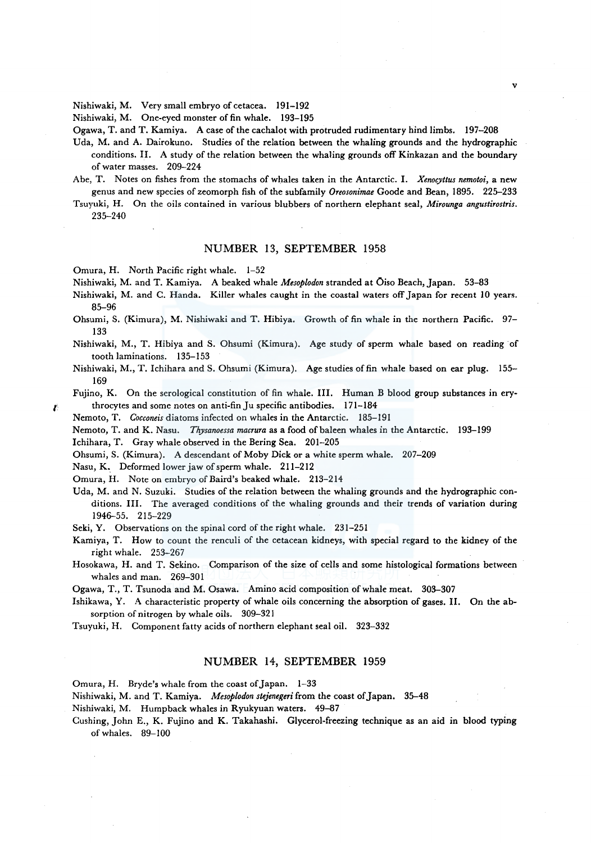Nishiwaki, M. Very small embryo of cetacea. 191-192

Nishiwaki, M. One-eyed monster of fin whale. 193-195

Ogawa, T. and T. Kamiya. A case of the cachalot with protruded rudimentary hind limbs. 197-208

- Uda, M. and A. Dairokuno. Studies of the relation between the whaling grounds and the hydrographic conditions. II. A study of the relation between the whaling grounds off Kinkazan and the boundary of water masses. 209-224
- Abe, T. Notes on fishes from the stomachs of whales taken in the Antarctic. I. *Xenocyttus nemotoi,* a new genus and new species of zeomorph fish of the subfamily *Oreosonimae* Goode and Bean, 1895. 225-233
- Tsuyuki, H. On the oils contained in various blubbers of northern elephant seal, *Mirounga angustirostris.*  235-240

### NUMBER 13, SEPTEMBER 1958

Omura, H. North Pacific right whale. 1-52

Nishiwaki, M. and T. Kamiya. A beaked whale *Mesoplodon* stranded at Oiso Beach, Japan. 53-83

- Nishiwaki, M. and C. Handa. Killer whales caught in the coastal waters off Japan for recent 10 years. 85-96
- Ohsumi, S. (Kimura), M. Nishiwaki and T. Hibiya. Growth of fin whale in the northern Pacific. 97- 133

Nishiwaki, M., T. Hibiya and S. Ohsumi (Kimura). Age study of sperm whale based on reading of tooth laminations. 135-153

Nishiwaki, M., T. lchihara and S. Ohsumi (Kimura). Age studies of fin whale based on ear plug. 155- 169

Fujino, K. On the serological constitution of fin whale. III. Human B blood group substances in erythrocytes and some notes on anti-fin Ju specific antibodies. 171-184

Nemoto, T. *Cocconeis* diatoms infected on whales in the Antarctic. 185-191

Nemoto, T. and K. Nasu. *Thysanoessa macrura* as a food of baleen whales in the Antarctic. 193-199

Ichihara, T. Gray whale observed in the Bering Sea. 201-205

Ohsumi, S. (Kimura). A descendant of Moby Dick or a white sperm whale. 207-209

Nasu, K. Deformed lower jaw of sperm whale. 211-212

Omura, H. Note on embryo of Baird's beaked whale. 213-214

Uda, M. and N. Suzuki. Studies of the relation between the whaling grounds and the hydrographic conditions. III. The averaged conditions of the whaling grounds and their trends of variation during 1946-55. 215-229

Seki, Y. Observations on the spinal cord of the right whale. 231-251

Kamiya, T. How to count the renculi of the cetacean kidneys, with special regard to the kidney of the right whale. 253-267

Hosokawa, H. and T. Sekino. Comparison of the size of cells and some histological formations between whales and man. 269-301

Ogawa, T., T. Tsunoda and M. Osawa. Amino acid composition of whale meat. 303-307

Ishikawa, Y. A characteristic property of whale oils concerning the absorption of gases. II. On the absorption of nitrogen by whale oils. 309-321

Tsuyuki, H. Component fatty acids of northern elephant seal oil. 323-332

## NUMBER 14, SEPTEMBER 1959

Omura, H. Bryde's whale from the coast of Japan. 1-33

Nishiwaki, M. and T. Kamiya. *Mesoplodon stejenegeri* from the coast of Japan. 35-48

Nishiwaki, M. Humpback whales in Ryukyuan waters. 49-87

Cushing, John E., K. Fujino and K. Takahashi. Glycerol-freezing technique as an aid in blood typing ofwhales. 89-100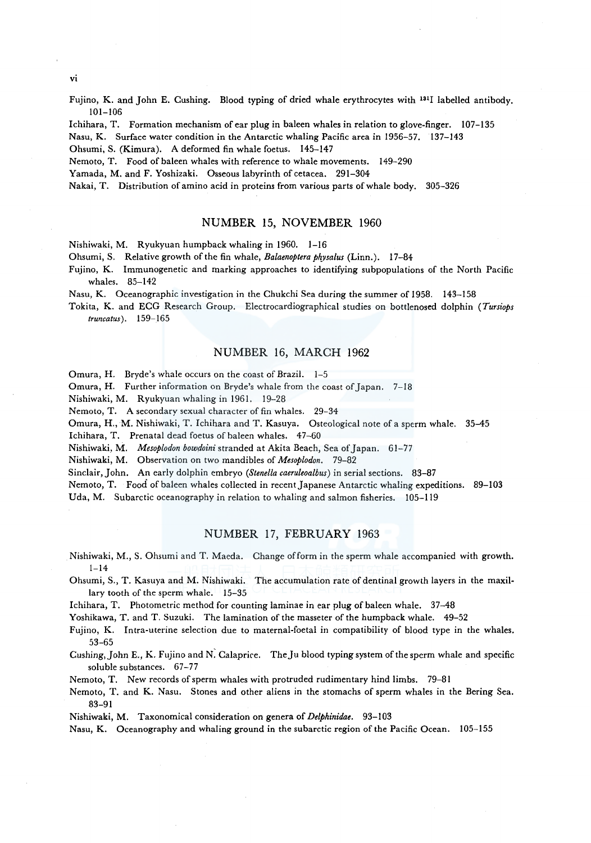Fujino, K. and John E. Cushing. Blood typing of dried whale erythrocytes with 1311 labelled antibody. 101-106

lchihara, T. Formation mechanism of ear plug in baleen whales in relation to glove-finger. 107-135

Nasu, K. Surface water condition in the Antarctic whaling Pacific area in 1956-57. 137-143

Ohsumi, S. (Kimura). A deformed fin whale foetus. 145-147

Nemoto, T. Food of baleen whales with reference to whale movements. 149-290

Yamada, M. and F. Yoshizaki. Osseous labyrinth of cetacea. 291-304

Nakai, T. Distribution of amino acid in proteins from various parts of whale body. 305-326

#### NUMBER 15, NOVEMBER 1960

Nishiwaki, M. Ryukyuan humpback whaling in 1960. 1-16

Ohsumi, S. Relative growth of the fin whale, *Balaenoptera ph\_ysalus* (Linn.). 17-84

Fujino, K. Immunogenetic and marking approaches to identifying subpopulations of the North Pacific whales. 85-142

Nasu, K. Oceanographic investigation in the Chukchi Sea during the summer of 1958. 143-158

Tokita, K. and ECG Research Group. Electrocardiographical studies on bottlenosed dolphin *(Tursiops truncatus).* 159-165

## NUMBER 16, MARCH 1962

Omura, H. Bryde's whale occurs on the coast of Brazil. 1-5

Omura, H. Further information on Bryde's whale from the coast of Japan. 7-18

Nishiwaki, M. Ryukyuan whaling in 1961. 19-28

Nemoto, T. A secondary sexual character of fin whales. 29-34

Omura, H., M. Nishiwaki, T. lchihara and T. Kasuya. Osteological note of a sperm whale. 35-45

lchihara, T. Prenatal dead foetus of baleen whales. 47-60

Nishiwaki, M. *Mesoplodon bowdoini* stranded at Akita Beach, Sea of Japan. 61-77

Nishiwaki, M. Observation on two mandibles of *Mesoplodon.* 79-82

Sinclair, John. An early dolphin embryo *(Stenella caeruleoalbus)* in serial sections. 83-87

Nemoto, T. Food of baleen whales collected in recent Japanese Antarctic whaling expeditions. 89-103

Uda, M. Subarctic oceanography in relation to whaling and salmon fisheries. 105-119

# NUMBER 17, FEBRUARY 1963

Nishiwaki, M., S. Ohsumi and T. Maeda. Change of form in the sperm whale accompanied with growth.  $1 - 14$ 

Ohsumi, S., T. Kasuya and M. Nishiwaki. The accumulation rate of dentinal growth layers in the maxillary tooth of the sperm whale. 15-35

lchihara, T. Photometric method for counting laminae in ear plug of baleen whale. 37-48

Yoshikawa, T. and T. Suzuki. The lamination of the masseter of the humpback whale. 49-52

Fujino, K. Intra-uterine selection due to maternal-foetal in compatibility of blood type in the whales. 53-65

Cushing, John E., K. Fujino and N: Calaprice. TheJu blood typing system of the sperm whale and specific soluble substances. 67-77

Nemoto, T. New records of sperm whales with protruded rudimentary hind limbs. 79-81

Nemoto, T. and K. Nasu. Stones and other aliens in the stomachs of sperm whales in the Bering Sea. 83-91

Nishiwaki, M. Taxonomical consideration on genera of *Delphinidae.* 93-103

Nasu, K. Oceanography and whaling ground in the subarctic region of the Pacific Ocean. 105-155

vi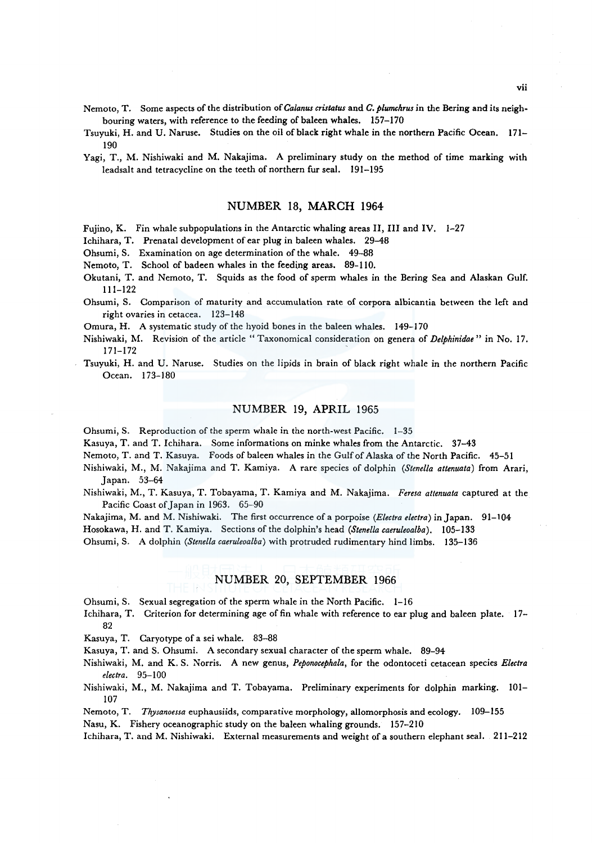- Tsuyuki, H. and U. Naruse. Studies on the oil of black right whale in the northern Pacific Ocean. 171- 190
- Yagi, T., M. Nishiwaki and M. Nakajima. A preliminary study on the method of time marking with leadsalt and tetracycline on the teeth of northern fur seal. 191-195

#### NUMBER 18, MARCH 1964

Fujino, K. Fin whale subpopulations in the Antarctic whaling areas II, III and IV.  $1-27$ 

Ichihara, T. Prenatal development of ear plug in baleen whales. 29-48

Ohsumi, S. Examination on age determination of the whale. 49-88

Nemoto, T. School of badeen whales in the feeding areas. 89-110.

Okutani, T. and Nemoto, T. Squids as the food of sperm whales in the Bering Sea and Alaskan Gulf. 111-122

Ohsumi, S. Comparison of maturity and accumulation rate of corpora albicantia between the left and right ovaries in cetacea. 123-148

Omura, H. A systematic study of the hyoid bones in the baleen whales. 149-170

- Nishiwaki, M. Revision of the article "Taxonomical consideration on genera of *Delphinidae"* in No. 17. 171-172
- Tsuyuki, H. and U. Naruse. Studies on the lipids in brain of black right whale in the northern Pacific Ocean. 173-180

#### NUMBER 19, APRIL 1965

Ohsumi, S. Reproduction of the sperm whale in the north-west Pacific. l-35

Kasuya, T. and T. Ichihara. Some informations on minke whales from the Antarctic. 37-43

Nemoto, T. and T. Kasuya. Foods of baleen whales in the Gulf of Alaska of the North Pacific. 45-5 l

- Nishiwaki, M., M. Nakajima and T. Kamiya. A rare species of dolphin *(Stenella attenuata)* from Arari, Japan. 53-64
- Nishiwaki, M., T. Kasuya, T. Tobayama, T. Kamiya and M. Nakajima. *Feresa attenuata* captured at the Pacific Coast of Japan in 1963. 65-90

Nakajima, M. and M. Nishiwaki. The first occurrence of a porpoise *(Electra electra)* in Japan. 91-104

Hosokawa, H. and T. Kamiya. Sections of the dolphin's head *(Stenella caeruleoalba).* 105-133

Ohsumi, S. A dolphin *(Stene/la caeruleoalba)* with protruded rudimentary hind limbs. 135-136

## NUMBER 20, SEPTEMBER 1966

Ohsumi, S. Sexual segregation of the sperm whale in the North Pacific. 1-16

Ichihara, T. Criterion for determining age of fin whale with reference to ear plug and baleen plate. 17- 82

Kasuya, T. Caryotype of a sei whale. 83-88

Kasuya, T. and S. Ohsumi. A secondary sexual character of the sperm whale. 89-94

Nishiwaki, M. and K. S. Norris. A new genus, *Peponocephala,* for the odontoceti cetacean species *Electra electra.* 95-l 00

Nishiwaki, M., M. Nakajima and T. Tobayama. Preliminary experiments for dolphin marking. 101- 107

Nemoto, T. *Thysanoessa* euphausiids, comparative morphology, allomorphosis and ecology. 109-155

Nasu, K. Fishery oceanographic study on the baleen whaling grounds. 157-210

lchihara, T. and M. Nishiwaki. External measurements and weight of a southern elephant seal. 211-212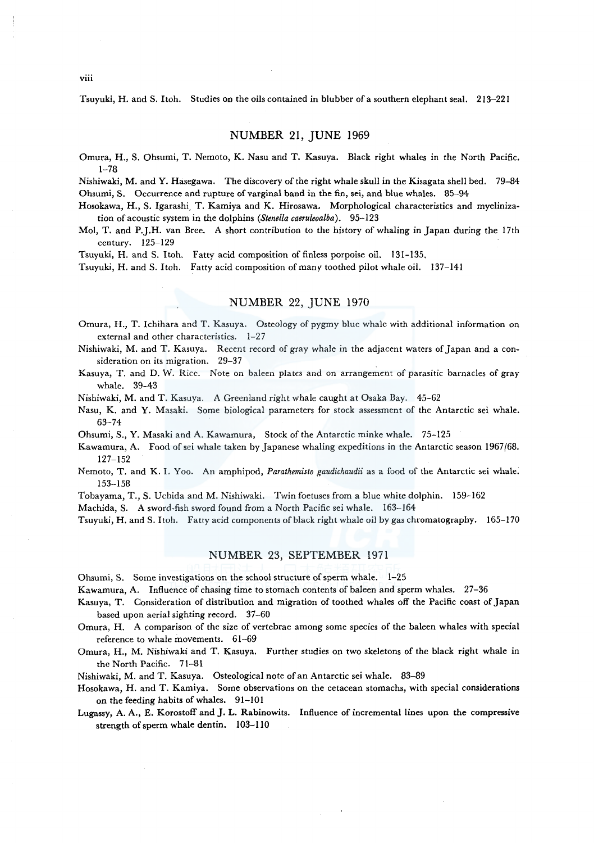Tsuyuki, H. and S. ltoh. Studies on the oils contained in blubber of a southern elephant seal. 213-221

#### NUMBER 21, JUNE 1969

Omura, H., S. Ohsumi, T. Nemoto, K. Nasu and T. Kasuya. Black right whales in the North Pacific. 1-78

Nishiwaki, M. and Y. Hasegawa. The discovery of the right whale skull in the Kisagata shell bed. 79-84 Ohsumi, S. Occurrence and rupture of varginal band in the fin, sei, and blue whales. 85-94

Hosokawa, H., S. Igarashi. T. Kamiya and K. Hirosawa. Morphological characteristics and myelinization of acoustic system in the dolphins *(Stenella caeruleoalba).* 95-123

Mol, T. and P.J.H. van Bree. A short contribution to the history of whaling in Japan during the 17th century. 125-129

Tsuyuki, H. and S. Itoh. Fatty acid composition of finless porpoise oil. 131-135.

Tsuyuki, H. and S. Itoh. Fatty acid composition of *many* toothed pilot whale oil. 137-141

# NUMBER 22, JUNE 1970

Omura, H., T. Ichihara and T. Kasuya. Osteology of pygmy blue whale with additional information on external and other characteristics. 1-27

Nishiwaki, M. and T. Kasuya. Recent record of gray whale in the adjacent waters of Japan and a consideration on its migration. 29-37

Kasuya, T. and D. W. Rice. Note on baleen plates and on arrangement of parasitic barnacles of gray whale. 39-43

Nishiwaki, M. and T. Kasuya. A Greenland right whale caught at Osaka Bay. 45-62

Nasu, K. and Y. Masaki. Some biological parameters for stock assessment of the Antarctic sei whale. 63-74

Ohsumi, S., Y. Masaki and A. Kawamura, Stock of the Antarctic minke whale. 75-125

- Kawamura, A. Food ofsei whale taken by Japanese whaling expeditions in the Antarctic season 1967/68. 127-152
- Nemoto, T. and K. I. Yoo. An amphipod, *Parathemisto gaudichaudii* as a food of the Antarctic sei whale. 153-158

Tobayama, T., S. Uchida and M. Nishiwaki. Twin foetuses from a blue white dolphin. 159-162

Machida, S. A sword-fish sword found from a North Pacific sei whale. 163-164

Tsuyuki, H. and S. Itoh. Fatty acid components of black right whale oil by gas chromatography. 165-170

#### NUMBER 23, SEPTEMBER 1971

Ohsumi, S. Some investigations on the school structure of sperm whale. 1-25

Kawamura, A. Influence of chasing time to stomach contents of baleen and sperm whales. 27-36

Kasuya, T. Consideration of distribution and migration of toothed whales off the Pacific coast of Japan based upon aerial sighting record. 37-60

Omura, H. A comparison of the size of vertebrae among some species of the baleen whales with special reference to whale movements. 61-69

Omura, H., M. Nishiwaki and T. Kasuya. Further studies on two skeletons of the black right whale in the North Pacific. 71-81

Nishiwaki, M. and T. Kasuya. Osteological note of an Antarctic sei whale. 83-89

Hosokawa, H. and T. Kamiya. Some observations on the cetacean stomachs, with special considerations on the feeding habits of whales. 91-101

Lugassy, A. A., E. Korostoff and J. L. Rabinowits. Influence of incremental lines upon the compressive strength of sperm whale dentin. 103-110

viii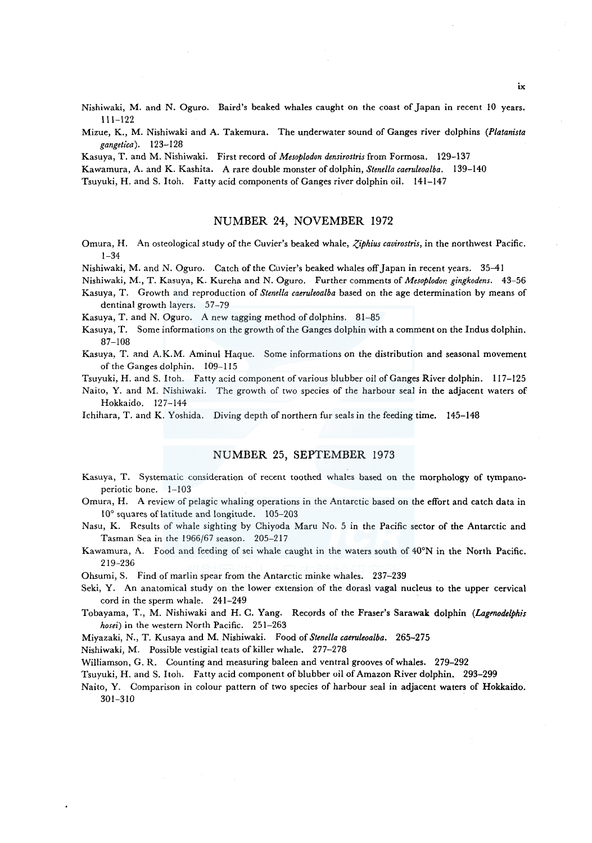- Nishiwaki, M. and N. Oguro. Baird's beaked whales caught on the coast of Japan in recent 10 years. 111-122
- Mizue, K., M. Nishiwaki and A. Takemura. The underwater sound of Ganges river dolphins *(Platanista gangetica).* 123-128

Kasuya, T. and M. Nishiwaki. First record of *Mesoplodon densirostris* from Formosa. 129-137

Kawamura, A. and K. Kashita. A rare double monster of dolphin, *Stenella caeruleoalba.* 139-140

Tsuyuki, H. and S. Itoh. Fatty acid components of Ganges river dolphin oil. 141-147

## NUMBER 24, NOVEMBER 1972

- Omura, H. An osteological study of the Cuvier's beaked whale, *Ziphius cavirostris,* in the northwest Pacific. 1-34
- Nishiwaki, M. and N. Oguro. Catch of the Cuvier's beaked whales off Japan in recent years. 35-41

Nishiwaki, M., T. Kasuya, K. Kureha and N. Oguro. Further comments of *Mesoplodon gingkodens.* 43-56

- Kasuya, T. Growth and reproduction of *Stenella caeruleoalba* based on the age determination by means of dentinal growth layers. 57-79
- Kasuya, T. and N. Oguro. A new tagging method of dolphins. 81-85
- Kasuya, T. Some informations on the growth of the Ganges dolphin with a comment on the Indus dolphin. 87-108
- Kasuya, T. and A.K.M. Aminul Haque. Some informations on the distribution and seasonal movement of the Ganges dolphin. 109-115
- Tsuyuki, H. and S. Itoh. Fatty acid component of various blubber oil of Ganges River dolphin. 117-125
- Naito, Y. and M. Nishiwaki. The growth of two species of the harbour seal in the adjacent waters of Hokkaido. 127-144
- Ichihara, T. and K. Yoshida. Diving depth of northern fur seals in the feeding time. 145-148

## NUMBER 25, SEPTEMBER 1973

- Kasuya, T. Systematic consideration of recent toothed whales based on the morphology of tympanoperiotic bone. 1-103
- Omura, H. A review of pelagic whaling operations in the Antarctic based on the effort and catch data in 10° squares of latitude and longitude. 105-203
- Nasu, K. Results of whale sighting by Chiyoda Maru No. 5 in the Pacific sector of the Antarctic and Tasman Sea in the 1966/67 season. 205-217
- Kawamura, A. Food and feeding of sei whale caught in the waters south of 40°N in the North Pacific. 219-236
- Ohsumi, S. Find of marlin spear from the Antarctic minke whales. 237-239
- Seki, Y. An anatomical study on the lower extension of the dorasl vagal nucleus to the upper cervical cord in the sperm whale. 241-249
- Tobayama, T., M. Nishiwaki and H. C. Yang. Records of the Fraser's Sarawak dolphin *(Lagmodelphis hosei)* in the western North Pacific. 251-263

Miyazaki, N., T. Kusaya and M. Nishiwaki. Food of *Stenella caeruleoalba.* 265-275

Nishiwaki, M. Possible vestigial teats of killer whale. 277-278

Williamson, G. R. Counting and measuring baleen and ventral grooves of whales. 279-292

Tsuyuki, H. and S. Itoh. Fatty acid component of blubber oil of Amazon River dolphin. 293-299

Naito, Y. Comparison in colour pattern of two species of harbour seal in adjacent waters of Hokkaido. 301-310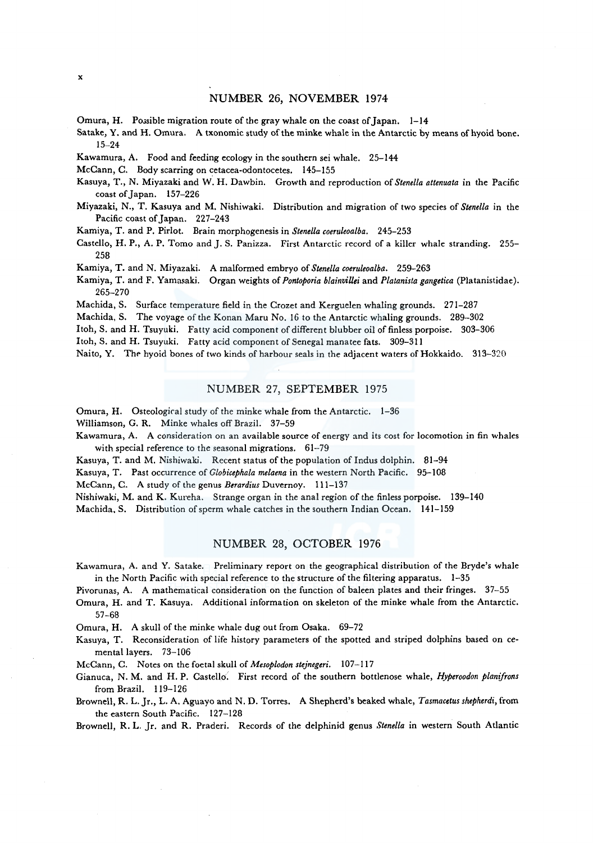Omura, H. Possible migration route of the gray whale on the coast of Japan.  $1-14$ 

Satake, Y. and H. Omura. A txonomic study of the minke whale in the Antarctic by means of hyoid bone. 15-24

Kawamura, A. Food and feeding ecology in the southern sei whale. 25-144

McCann, C. Body scarring on cetacea-odontocetes. 145-155

Kasuya, T., N. Miyazaki and W. H. Dawbin. Growth and reproduction of *Stenella attenuata* in the Pacific coast of Japan. 157-226

Miyazaki, N., T. Kasuya and M. Nishiwaki. Distribution and migration of two species of *Stenella* in the Pacific coast of Japan. 227-243

Kamiya, T. and P. Pirlot. Brain morphogenesis in *Stenella coeruleoalba.* 245-253

Castello, H.P., A. P. Torno and J. S. Panizza. First Antarctic record of a killer whale stranding. 255- 258

Kamiya, T. and N. Miyazaki. A malformed embryo of *Stenella coeruleoalba.* 259-263

Kamiya, T. and F. Yamasaki. Organ weights of *Pontoporia blainvillei* and *Platanista gangetica* (Platanistidae). 265-270

Machida, S. Surface temperature field in the Crozet and Kerguelen whaling grounds. 271-287

Machida, S. The voyage of the Konan Maru No. 16 to the Antarctic whaling grounds. 289-302

Itoh, S. and H. Tsuyuki. Fatty acid component of different blubber oil of finless porpoise. 303-306

ltoh, S. and H. Tsuyuki. Fatty acid component of Senegal manatee fats. 309-311

Naito, Y. The hyoid bones of two kinds of harbour seals in the adjacent waters of Hokkaido. 313-320

#### NUMBER 27, SEPTEMBER 1975

Omura, H. Osteological study of the minke whale from the Antarctic. 1-36

Williamson, G. R. Minke whales off Brazil. 37-59

Kawamura, A. A consideration on an available source of energy and its cost for locomotion in fin whales with special reference to the seasonal migrations. 61-79

Kasuya, T. and M. Nishiwaki. Recent status of the population of Indus dolphin. 81-94

Kasuya, T. Past occurrence of *Globicephala melaena* in the western North Pacific. 95-108

McCann, C. A study of the genus *Berardius* Duvernoy. 111-137

Nishiwaki, M. and K. Kureha. Strange organ in the anal region of the finless porpoise. 139-140

Machida. S. Distribution of sperm whale catches in the southern Indian Ocean. 141-159

## NUMBER 28, OCTOBER 1976

Kawamura, A. and Y. Satake. Preliminary report on the geographical distribution of the Bryde's whale in the North Pacific with special reference to the structure of the filtering apparatus. 1-35

Pivorunas, A. A mathematical consideration on the function of baleen plates and their fringes. 37-55

Omura, H. and T. Kasuya. Additional information on skeleton of the minke whale from the Antarctic. 57-68

Omura, H. A skull of the minke whale dug out from Osaka. 69-72

Kasuya, T. Reconsideration of life history parameters of the spotted and striped dolphins based on cementa! layers. 73-106

McCann, C. Notes on the foetal skull of *Mesoplodon stejnegeri.* 107-117

Gianuca, N. M. and H.P. Castello'. First record of the southern bottlenose whale, *Hyperoodon planifrons*  from Brazil. 119-126

Brownell, R. L. Jr., L. A. Aguayo and N. D. Torres. A Shepherd's beaked whale, *Tasmacetus shepherdi,* from the eastern South Pacific. 127-128

Brownell, R. L. Jr. and R. Praderi. Records of the delphinid genus *Stenella* in western South Atlantic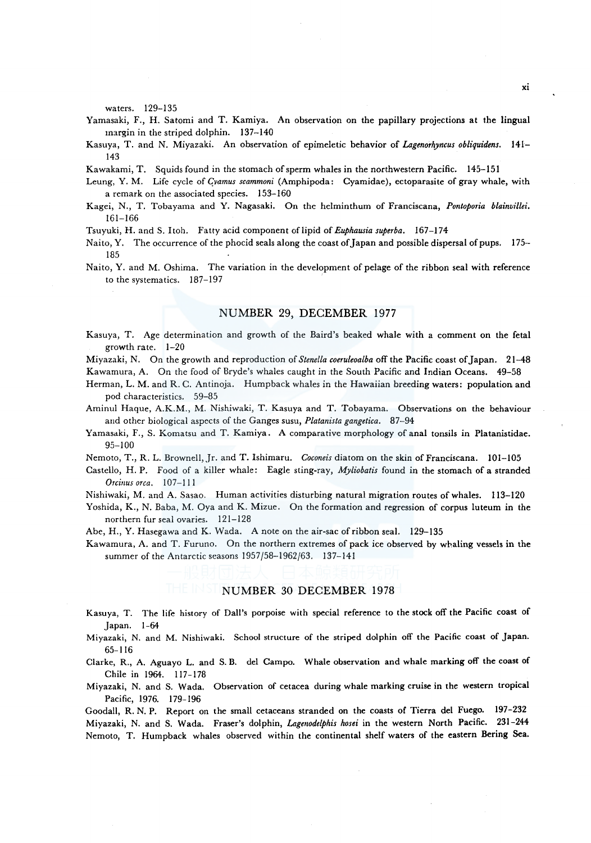waters. 129-135

- Yamasaki, F., H. Satomi and T. Kamiya. An observation on the papillary projections at the lingual margin in the striped dolphin. 137-140
- Kasuya, T. and N. Miyazaki. An observation of epimeletic behavior of *Lagenorhyncus obliquidens.* 141- 143
- Kawakami, T. Squids found in the stomach of sperm whales in the northwestern Pacific. 145-151
- Leung, Y. M. Life cycle of *Gvamus scammoni* (Amphipoda: Cyamidae), ectoparasite of gray whale, with a remark on the associated species. 153-160
- Kagei, N., T. Tobayama and Y. Nagasaki. On the helminthum of Franciscana, *Pontoporia blainvillei.*  161-166
- Tsuyuki, H. and S. Itoh. Fatty acid component of lipid of *Euphausia superba.* 167-174
- Naito, Y. The occurrence of the phocid seals along the coast of Japan and possible dispersal of pups. 175- 185
- Naito, Y. and M. Oshima. The variation in the development of pelage of the ribbon seal with reference to the systematics. 187-197

## NUMBER 29, DECEMBER 1977

Kasuya, T. Age determination and growth of the Baird's beaked whale with a comment on the feta! growth rate. 1-20

Miyazaki, N. On the growth and reproduction of *Stenella coeruleoalba* off the Pacific coast of Japan. 21-48 Kawamura, A. On the food of Bryde's whales caught in the South Pacific and Indian Oceans. 49-58

- Herman, L. M. and R. C. Antinoja. Humpback whales in the Hawaiian breeding waters: population and pod characteristics. 59-85
- Aminul Haque, A.K.M., M. Nishiwaki, T. Kasuya and T. Tobayama. Observations on the behaviour and other biological aspects of the Ganges susu, *Platanista gangetica.* 87-94
- Yamasaki, F., S. Komatsu and T. Kamiya. A comparative morphology of anal tonsils in Platanistidae. 95-100
- Nemoto, T., R. L. Brownell, Jr. and T. Ishimaru. *Coconeis* diatom on the skin of Franciscana. 101-105
- Castello, H.P. Food of a killer whale: Eagle sting-ray, *Myliobatis* found in the stomach of a stranded *Orcinus orca.* **107-111**
- Nishiwaki, M. and A. Sasao. Human activities disturbing natural migration routes of whales. 113-120
- Yoshida, K., N. Baba, M. Oya and K. Mizue. On the formation and regression of corpus luteum in the northern fur seal ovaries. 121-128
- Abe, H., Y. Hasegawa and K. Wada. A note on the air-sac of ribbon seal. 129-135
- Kawamura, A. and T. Furuno. On the northern extremes of pack ice observed by whaling vessels in the summer of the Antarctic seasons 1957/58-1962/63. 137-141

#### NUMBER 30 DECEMBER 1978

- Kasuya, T. The life history of Dall's porpoise with special reference to the stock off the Pacific coast of Japan. 1-64
- Miyazaki, N. and M. Nishiwaki. School structure of the striped dolphin off the Pacific coast of Japan. 65-116
- Clarke, R., A. Aguayo L. and S. B. de! Campo. Whale observation and whale marking off the coast of Chile in 1964. 117-178
- Miyazaki, N. and S. Wada. Observation of cetacea during whale marking cruise in the western tropical Pacific, 1976. 179-196

Goodall, R. N. P. Report on the small cetaceans stranded on the coasts of Tierra del Fuego. 197-232 Miyazaki, N. and S. Wada. Fraser's dolphin, *Lagerwdelphis hosei* in the western North Pacific. 231-244 Nemoto, T. Humpback whales observed within the continental shelf waters of the eastern Bering Sea.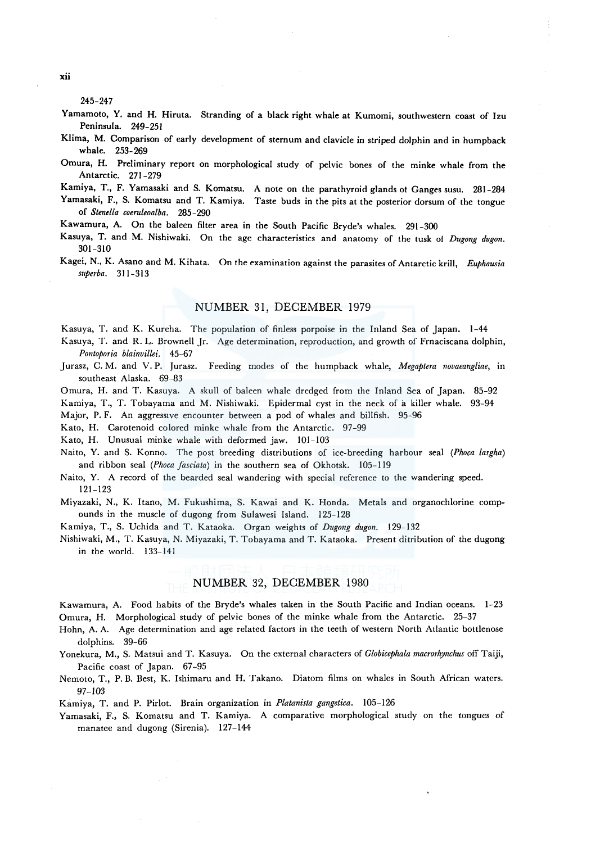245-247

- Yamamoto, Y. and **H.** Hiruta. Stranding of a black right whale at Kumomi, southwestern coast of Izu Peninsula. 249-251
- Klima, M. Comparison of early development of sternum and clavicle in striped dolphin and in humpback whale. 253-269
- Omura, H. Preliminary report on morphological study of pelvic bones of the minke whale from the Antarctic. 271-279
- Kamiya, T., F. Yamasaki and S. Komatsu. A note on the parathyroid glands of Ganges susu. 281-284
- Yamasaki, F., S. Komatsu and T. Kamiya. Taste buds in the pits at the posterior dorsum of the tongue of *Stenella coeruleoalba.* 285-290
- Kawamura, A. On the baleen filter area in the South Pacific Bryde's whales. 291-300
- Kasuya, T. and M. Nishiwaki. On the age characteristics and anatomy of the tusk of *Dugong dugon.*  301-310
- Kagei, N., K. Asano and M. Kihata. On the examination against the parasites of Antarctic krill, *Euphausia superba.* 311-313

## NUMBER 31, DECEMBER 1979

Kasuya, T. and K. Kureha. The population of finless porpoise in the Inland Sea of Japan. 1-44

Kasuya, T. and R. L. Brownell Jr. Age determination, reproduction, and growth of Frnaciscana dolphin, *Pontoporia blainvillei.* 45-67

Jurasz, C. M. and V. P. Jurasz. Feeding modes of the humpback whale, *Megaptera novaeangliae,* in southeast Alaska. 69-83

Omura, H. and T. Kasuya. A skull of baleen whale dredged from the Inland Sea of Japan. 85-92 Kamiya, T., T. Tobayama and M. Nishiwaki. Epidermal cyst in the neck of a killer whale. 93-94

Major, P. F. An aggressive encounter between a pod of whales and billfish. 95-96

Kato, H. Carotenoid colored minke whale from the Antarctic. 97-99

Kato, H. Unusual minke whale with deformed jaw. 101-103

Naito, Y. and S. Konno. The post breeding distributions of ice-breeding harbour seal *(Phoca largha)*  and ribbon seal *(Phoca fasciata)* in the southern sea of Okhotsk. 105-119

- Naito, Y. A record of the bearded seal wandering with special reference to the wandering speed. 121-123
- Miyazaki, N., K. Itano, M. Fukushima, S. Kawai and K. Honda. Metals and organochlorine compounds in the muscle of dugong from Sulawesi Island. 125-128

Kamiya, T., S. Uchida and T. Kataoka. Organ weights of *Dugong dugon.* 129-132

Nishiwaki, M., T. Kasuya, N. Miyazaki, T. Tobayama and T. Kataoka. Present ditribution of the dugong in the world. 133-141

# NUMBER 32, DECEMBER 1980

Kawamura, A. Food habits of the Bryde's whales taken in the South Pacific and Indian oceans. 1-23 Omura, H. Morphological study of pelvic bones of the minke whale from the Antarctic. 25-37

Hohn, A. A. Age determination and age related factors in the teeth of western North Atlantic bottlenose dolphins. 39-66

Yonekura, M., S. Matsui and T. Kasuya. On the external characters of *Globicephala macrorhynchus* off Taiji, Pacific coast of Japan. 67-95

Nemoto, T., P. B. Best, K. Ishimaru and H. Takano. Diatom films on whales in South African waters. 97-103

Kamiya, T. and P. Pirlot. Brain organization in *Platanista gangetica.* 105-126

Yamasaki, F., S. Komatsu and T. Kamiya. A comparative morphological study on the tongues of manatee and dugong (Sirenia). 127-144